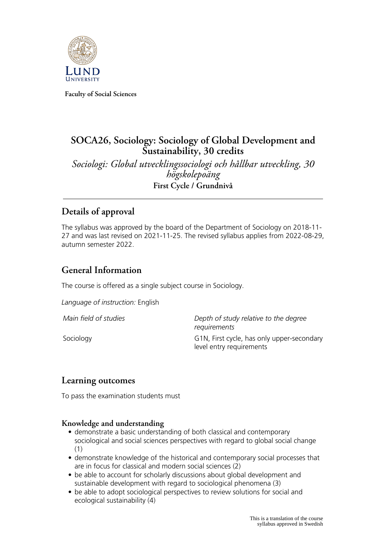

**Faculty of Social Sciences**

# **SOCA26, Sociology: Sociology of Global Development and Sustainability, 30 credits**

*Sociologi: Global utvecklingssociologi och hållbar utveckling, 30 högskolepoäng* **First Cycle / Grundnivå**

# **Details of approval**

The syllabus was approved by the board of the Department of Sociology on 2018-11- 27 and was last revised on 2021-11-25. The revised syllabus applies from 2022-08-29, autumn semester 2022.

# **General Information**

The course is offered as a single subject course in Sociology.

*Language of instruction:* English

*Main field of studies Depth of study relative to the degree requirements* Sociology **G1N, First cycle, has only upper-secondary** level entry requirements

## **Learning outcomes**

To pass the examination students must

### **Knowledge and understanding**

- demonstrate a basic understanding of both classical and contemporary sociological and social sciences perspectives with regard to global social change (1)
- demonstrate knowledge of the historical and contemporary social processes that are in focus for classical and modern social sciences (2)
- be able to account for scholarly discussions about global development and sustainable development with regard to sociological phenomena (3)
- be able to adopt sociological perspectives to review solutions for social and ecological sustainability (4)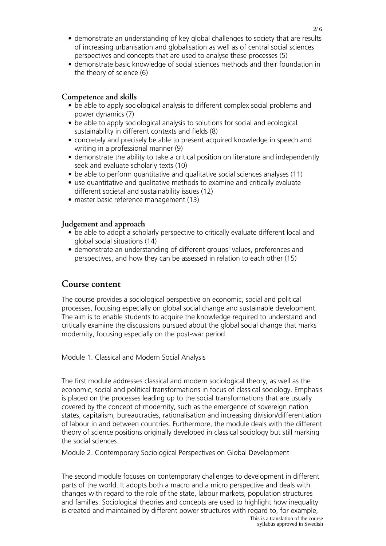- demonstrate an understanding of key global challenges to society that are results of increasing urbanisation and globalisation as well as of central social sciences perspectives and concepts that are used to analyse these processes (5)
- demonstrate basic knowledge of social sciences methods and their foundation in the theory of science (6)

#### **Competence and skills**

- be able to apply sociological analysis to different complex social problems and power dynamics (7)
- be able to apply sociological analysis to solutions for social and ecological sustainability in different contexts and fields (8)
- concretely and precisely be able to present acquired knowledge in speech and writing in a professional manner (9)
- demonstrate the ability to take a critical position on literature and independently seek and evaluate scholarly texts (10)
- be able to perform quantitative and qualitative social sciences analyses (11)
- use quantitative and qualitative methods to examine and critically evaluate different societal and sustainability issues (12)
- master basic reference management (13)

### **Judgement and approach**

- be able to adopt a scholarly perspective to critically evaluate different local and global social situations (14)
- demonstrate an understanding of different groups' values, preferences and perspectives, and how they can be assessed in relation to each other (15)

### **Course content**

The course provides a sociological perspective on economic, social and political processes, focusing especially on global social change and sustainable development. The aim is to enable students to acquire the knowledge required to understand and critically examine the discussions pursued about the global social change that marks modernity, focusing especially on the post-war period.

Module 1. Classical and Modern Social Analysis

The first module addresses classical and modern sociological theory, as well as the economic, social and political transformations in focus of classical sociology. Emphasis is placed on the processes leading up to the social transformations that are usually covered by the concept of modernity, such as the emergence of sovereign nation states, capitalism, bureaucracies, rationalisation and increasing division/differentiation of labour in and between countries. Furthermore, the module deals with the different theory of science positions originally developed in classical sociology but still marking the social sciences.

Module 2. Contemporary Sociological Perspectives on Global Development

The second module focuses on contemporary challenges to development in different parts of the world. It adopts both a macro and a micro perspective and deals with changes with regard to the role of the state, labour markets, population structures and families. Sociological theories and concepts are used to highlight how inequality is created and maintained by different power structures with regard to, for example,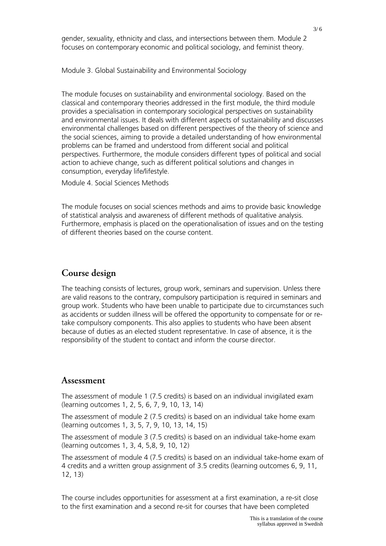gender, sexuality, ethnicity and class, and intersections between them. Module 2 focuses on contemporary economic and political sociology, and feminist theory.

Module 3. Global Sustainability and Environmental Sociology

The module focuses on sustainability and environmental sociology. Based on the classical and contemporary theories addressed in the first module, the third module provides a specialisation in contemporary sociological perspectives on sustainability and environmental issues. It deals with different aspects of sustainability and discusses environmental challenges based on different perspectives of the theory of science and the social sciences, aiming to provide a detailed understanding of how environmental problems can be framed and understood from different social and political perspectives. Furthermore, the module considers different types of political and social action to achieve change, such as different political solutions and changes in consumption, everyday life/lifestyle.

Module 4. Social Sciences Methods

The module focuses on social sciences methods and aims to provide basic knowledge of statistical analysis and awareness of different methods of qualitative analysis. Furthermore, emphasis is placed on the operationalisation of issues and on the testing of different theories based on the course content.

## **Course design**

The teaching consists of lectures, group work, seminars and supervision. Unless there are valid reasons to the contrary, compulsory participation is required in seminars and group work. Students who have been unable to participate due to circumstances such as accidents or sudden illness will be offered the opportunity to compensate for or retake compulsory components. This also applies to students who have been absent because of duties as an elected student representative. In case of absence, it is the responsibility of the student to contact and inform the course director.

## **Assessment**

The assessment of module 1 (7.5 credits) is based on an individual invigilated exam (learning outcomes 1, 2, 5, 6, 7, 9, 10, 13, 14)

The assessment of module 2 (7.5 credits) is based on an individual take home exam (learning outcomes 1, 3, 5, 7, 9, 10, 13, 14, 15)

The assessment of module 3 (7.5 credits) is based on an individual take-home exam (learning outcomes 1, 3, 4, 5,8, 9, 10, 12)

The assessment of module 4 (7.5 credits) is based on an individual take-home exam of 4 credits and a written group assignment of 3.5 credits (learning outcomes 6, 9, 11, 12, 13)

The course includes opportunities for assessment at a first examination, a re-sit close to the first examination and a second re-sit for courses that have been completed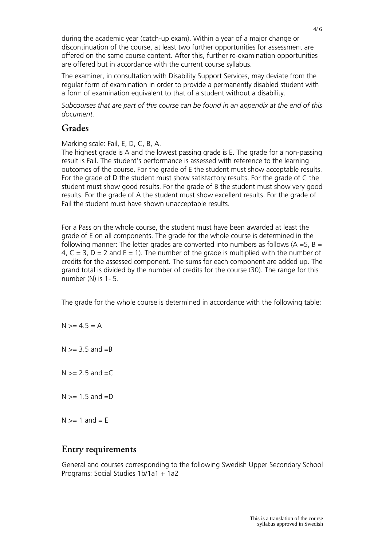during the academic year (catch-up exam). Within a year of a major change or discontinuation of the course, at least two further opportunities for assessment are offered on the same course content. After this, further re-examination opportunities are offered but in accordance with the current course syllabus.

The examiner, in consultation with Disability Support Services, may deviate from the regular form of examination in order to provide a permanently disabled student with a form of examination equivalent to that of a student without a disability.

*Subcourses that are part of this course can be found in an appendix at the end of this document.*

## **Grades**

Marking scale: Fail, E, D, C, B, A.

The highest grade is A and the lowest passing grade is E. The grade for a non-passing result is Fail. The student's performance is assessed with reference to the learning outcomes of the course. For the grade of E the student must show acceptable results. For the grade of D the student must show satisfactory results. For the grade of C the student must show good results. For the grade of B the student must show very good results. For the grade of A the student must show excellent results. For the grade of Fail the student must have shown unacceptable results.

For a Pass on the whole course, the student must have been awarded at least the grade of E on all components. The grade for the whole course is determined in the following manner: The letter grades are converted into numbers as follows ( $A = 5$ ,  $B = 1$ 4,  $C = 3$ ,  $D = 2$  and  $E = 1$ ). The number of the grade is multiplied with the number of credits for the assessed component. The sums for each component are added up. The grand total is divided by the number of credits for the course (30). The range for this number (N) is 1- 5.

The grade for the whole course is determined in accordance with the following table:

 $N > = 4.5 = A$  $N \geq 3.5$  and  $=R$  $N \ge 2.5$  and  $=C$  $N \geq 1.5$  and  $=D$  $N \geq 1$  and  $= F$ 

## **Entry requirements**

General and courses corresponding to the following Swedish Upper Secondary School Programs: Social Studies 1b/1a1 + 1a2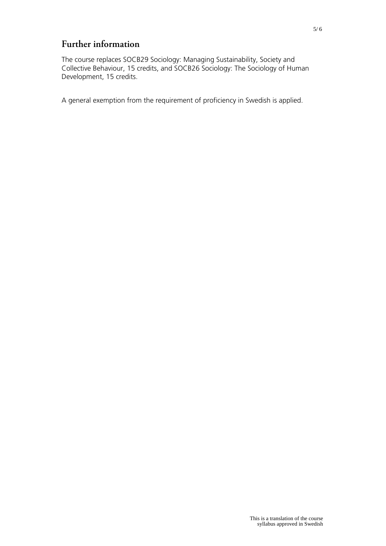# **Further information**

The course replaces SOCB29 Sociology: Managing Sustainability, Society and Collective Behaviour, 15 credits, and SOCB26 Sociology: The Sociology of Human Development, 15 credits.

A general exemption from the requirement of proficiency in Swedish is applied.